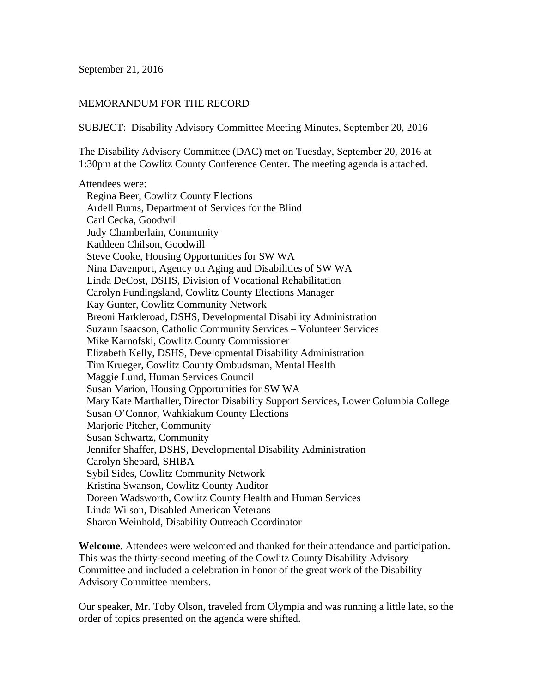September 21, 2016

#### MEMORANDUM FOR THE RECORD

SUBJECT: Disability Advisory Committee Meeting Minutes, September 20, 2016

The Disability Advisory Committee (DAC) met on Tuesday, September 20, 2016 at 1:30pm at the Cowlitz County Conference Center. The meeting agenda is attached.

Attendees were: Regina Beer, Cowlitz County Elections Ardell Burns, Department of Services for the Blind Carl Cecka, Goodwill Judy Chamberlain, Community Kathleen Chilson, Goodwill Steve Cooke, Housing Opportunities for SW WA Nina Davenport, Agency on Aging and Disabilities of SW WA Linda DeCost, DSHS, Division of Vocational Rehabilitation Carolyn Fundingsland, Cowlitz County Elections Manager Kay Gunter, Cowlitz Community Network Breoni Harkleroad, DSHS, Developmental Disability Administration Suzann Isaacson, Catholic Community Services – Volunteer Services Mike Karnofski, Cowlitz County Commissioner Elizabeth Kelly, DSHS, Developmental Disability Administration Tim Krueger, Cowlitz County Ombudsman, Mental Health Maggie Lund, Human Services Council Susan Marion, Housing Opportunities for SW WA Mary Kate Marthaller, Director Disability Support Services, Lower Columbia College Susan O'Connor, Wahkiakum County Elections Marjorie Pitcher, Community Susan Schwartz, Community Jennifer Shaffer, DSHS, Developmental Disability Administration Carolyn Shepard, SHIBA Sybil Sides, Cowlitz Community Network Kristina Swanson, Cowlitz County Auditor Doreen Wadsworth, Cowlitz County Health and Human Services Linda Wilson, Disabled American Veterans Sharon Weinhold, Disability Outreach Coordinator

**Welcome**. Attendees were welcomed and thanked for their attendance and participation. This was the thirty-second meeting of the Cowlitz County Disability Advisory Committee and included a celebration in honor of the great work of the Disability Advisory Committee members.

Our speaker, Mr. Toby Olson, traveled from Olympia and was running a little late, so the order of topics presented on the agenda were shifted.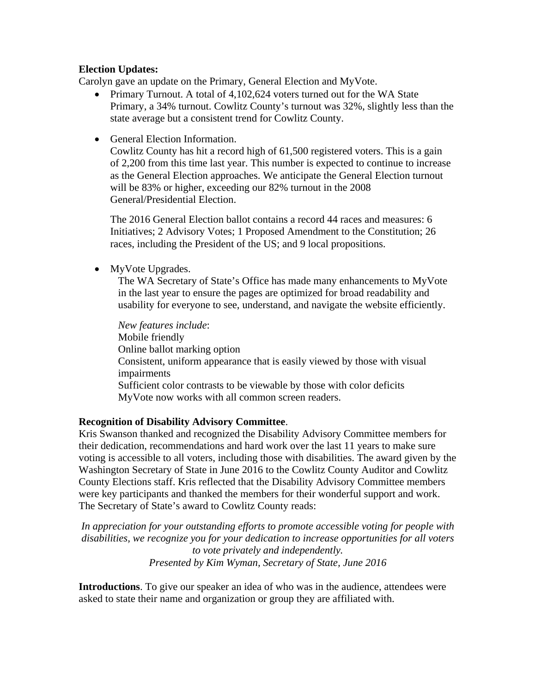### **Election Updates:**

Carolyn gave an update on the Primary, General Election and MyVote.

- Primary Turnout. A total of 4,102,624 voters turned out for the WA State Primary, a 34% turnout. Cowlitz County's turnout was 32%, slightly less than the state average but a consistent trend for Cowlitz County.
- General Election Information.

Cowlitz County has hit a record high of 61,500 registered voters. This is a gain of 2,200 from this time last year. This number is expected to continue to increase as the General Election approaches. We anticipate the General Election turnout will be 83% or higher, exceeding our 82% turnout in the 2008 General/Presidential Election.

The 2016 General Election ballot contains a record 44 races and measures: 6 Initiatives; 2 Advisory Votes; 1 Proposed Amendment to the Constitution; 26 races, including the President of the US; and 9 local propositions.

• MyVote Upgrades.

The WA Secretary of State's Office has made many enhancements to MyVote in the last year to ensure the pages are optimized for broad readability and usability for everyone to see, understand, and navigate the website efficiently.

*New features include*: Mobile friendly Online ballot marking option Consistent, uniform appearance that is easily viewed by those with visual impairments Sufficient color contrasts to be viewable by those with color deficits MyVote now works with all common screen readers.

# **Recognition of Disability Advisory Committee**.

Kris Swanson thanked and recognized the Disability Advisory Committee members for their dedication, recommendations and hard work over the last 11 years to make sure voting is accessible to all voters, including those with disabilities. The award given by the Washington Secretary of State in June 2016 to the Cowlitz County Auditor and Cowlitz County Elections staff. Kris reflected that the Disability Advisory Committee members were key participants and thanked the members for their wonderful support and work. The Secretary of State's award to Cowlitz County reads:

*In appreciation for your outstanding efforts to promote accessible voting for people with disabilities, we recognize you for your dedication to increase opportunities for all voters to vote privately and independently. Presented by Kim Wyman, Secretary of State, June 2016* 

**Introductions**. To give our speaker an idea of who was in the audience, attendees were asked to state their name and organization or group they are affiliated with.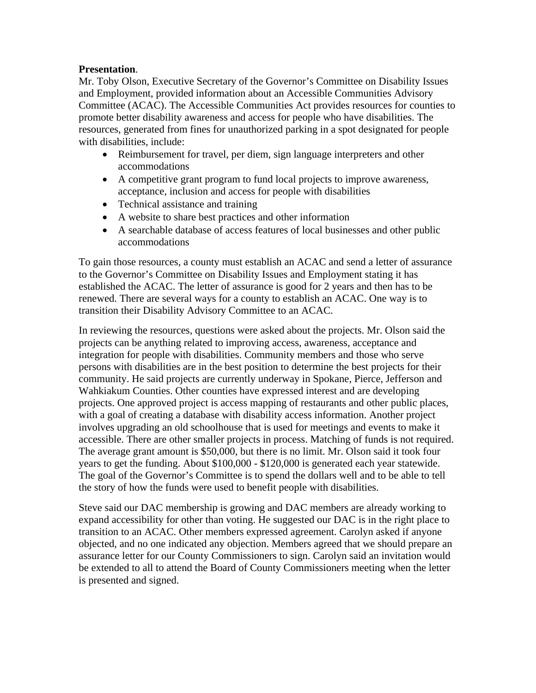### **Presentation**.

Mr. Toby Olson, Executive Secretary of the Governor's Committee on Disability Issues and Employment, provided information about an Accessible Communities Advisory Committee (ACAC). The Accessible Communities Act provides resources for counties to promote better disability awareness and access for people who have disabilities. The resources, generated from fines for unauthorized parking in a spot designated for people with disabilities, include:

- Reimbursement for travel, per diem, sign language interpreters and other accommodations
- A competitive grant program to fund local projects to improve awareness, acceptance, inclusion and access for people with disabilities
- Technical assistance and training
- A website to share best practices and other information
- A searchable database of access features of local businesses and other public accommodations

To gain those resources, a county must establish an ACAC and send a letter of assurance to the Governor's Committee on Disability Issues and Employment stating it has established the ACAC. The letter of assurance is good for 2 years and then has to be renewed. There are several ways for a county to establish an ACAC. One way is to transition their Disability Advisory Committee to an ACAC.

In reviewing the resources, questions were asked about the projects. Mr. Olson said the projects can be anything related to improving access, awareness, acceptance and integration for people with disabilities. Community members and those who serve persons with disabilities are in the best position to determine the best projects for their community. He said projects are currently underway in Spokane, Pierce, Jefferson and Wahkiakum Counties. Other counties have expressed interest and are developing projects. One approved project is access mapping of restaurants and other public places, with a goal of creating a database with disability access information. Another project involves upgrading an old schoolhouse that is used for meetings and events to make it accessible. There are other smaller projects in process. Matching of funds is not required. The average grant amount is \$50,000, but there is no limit. Mr. Olson said it took four years to get the funding. About \$100,000 - \$120,000 is generated each year statewide. The goal of the Governor's Committee is to spend the dollars well and to be able to tell the story of how the funds were used to benefit people with disabilities.

Steve said our DAC membership is growing and DAC members are already working to expand accessibility for other than voting. He suggested our DAC is in the right place to transition to an ACAC. Other members expressed agreement. Carolyn asked if anyone objected, and no one indicated any objection. Members agreed that we should prepare an assurance letter for our County Commissioners to sign. Carolyn said an invitation would be extended to all to attend the Board of County Commissioners meeting when the letter is presented and signed.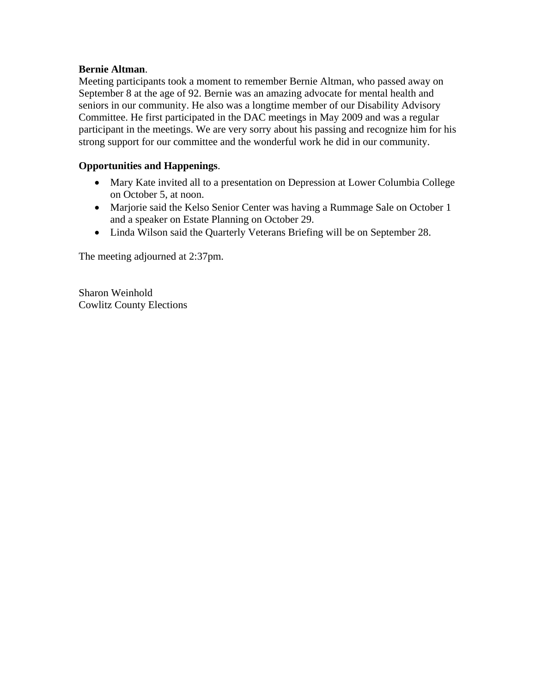### **Bernie Altman**.

Meeting participants took a moment to remember Bernie Altman, who passed away on September 8 at the age of 92. Bernie was an amazing advocate for mental health and seniors in our community. He also was a longtime member of our Disability Advisory Committee. He first participated in the DAC meetings in May 2009 and was a regular participant in the meetings. We are very sorry about his passing and recognize him for his strong support for our committee and the wonderful work he did in our community.

## **Opportunities and Happenings**.

- Mary Kate invited all to a presentation on Depression at Lower Columbia College on October 5, at noon.
- Marjorie said the Kelso Senior Center was having a Rummage Sale on October 1 and a speaker on Estate Planning on October 29.
- Linda Wilson said the Quarterly Veterans Briefing will be on September 28.

The meeting adjourned at 2:37pm.

Sharon Weinhold Cowlitz County Elections